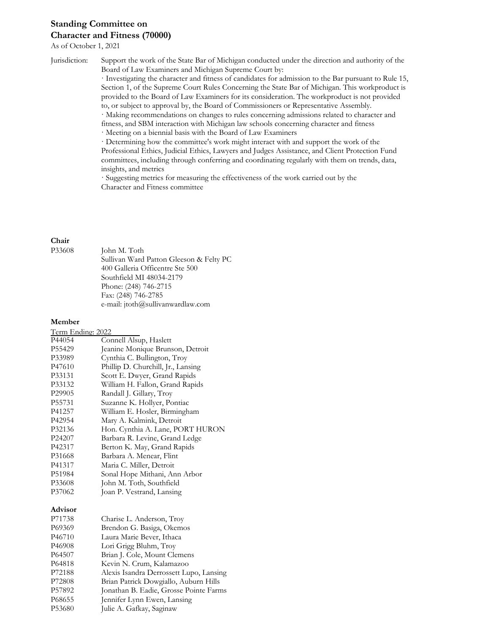# **Standing Committee on Character and Fitness (70000)**

#### As of October 1, 2021

Jurisdiction: Support the work of the State Bar of Michigan conducted under the direction and authority of the Board of Law Examiners and Michigan Supreme Court by:

> · Investigating the character and fitness of candidates for admission to the Bar pursuant to Rule 15, Section 1, of the Supreme Court Rules Concerning the State Bar of Michigan. This workproduct is provided to the Board of Law Examiners for its consideration. The workproduct is not provided to, or subject to approval by, the Board of Commissioners or Representative Assembly.

· Making recommendations on changes to rules concerning admissions related to character and fitness, and SBM interaction with Michigan law schools concerning character and fitness

· Meeting on a biennial basis with the Board of Law Examiners

· Determining how the committee's work might interact with and support the work of the Professional Ethics, Judicial Ethics, Lawyers and Judges Assistance, and Client Protection Fund committees, including through conferring and coordinating regularly with them on trends, data, insights, and metrics

· Suggesting metrics for measuring the effectiveness of the work carried out by the Character and Fitness committee

#### **Chair** P33608

| John M. Toth                            |
|-----------------------------------------|
| Sullivan Ward Patton Gleeson & Felty PC |
| 400 Galleria Officentre Ste 500         |
| Southfield MI 48034-2179                |
| Phone: (248) 746-2715                   |
| Fax: (248) 746-2785                     |
| e-mail: jtoth@sullivanwardlaw.com       |

### **Member**

| Term Ending: 2022  |                                    |  |
|--------------------|------------------------------------|--|
| P44054             | Connell Alsup, Haslett             |  |
| P55429             | Jeanine Monique Brunson, Detroit   |  |
| P33989             | Cynthia C. Bullington, Troy        |  |
| P47610             | Phillip D. Churchill, Jr., Lansing |  |
| P33131             | Scott E. Dwyer, Grand Rapids       |  |
| P33132             | William H. Fallon, Grand Rapids    |  |
| P <sub>29905</sub> | Randall J. Gillary, Troy           |  |
| P55731             | Suzanne K. Hollyer, Pontiac        |  |
| P41257             | William E. Hosler, Birmingham      |  |
| P42954             | Mary A. Kalmink, Detroit           |  |
| P32136             | Hon. Cynthia A. Lane, PORT HURON   |  |
| P <sub>24207</sub> | Barbara R. Levine, Grand Ledge     |  |
| P42317             | Berton K. May, Grand Rapids        |  |
| P31668             | Barbara A. Menear, Flint           |  |
| P41317             | Maria C. Miller, Detroit           |  |
| P51984             | Sonal Hope Mithani, Ann Arbor      |  |
| P33608             | John M. Toth, Southfield           |  |
| P37062             | Joan P. Vestrand, Lansing          |  |
|                    |                                    |  |

### **Advisor**

| P71738              | Charise L. Anderson, Troy               |
|---------------------|-----------------------------------------|
| P69369              | Brendon G. Basiga, Okemos               |
| P46710              | Laura Marie Bever, Ithaca               |
| P46908              | Lori Grigg Bluhm, Troy                  |
| P64507              | Brian J. Cole, Mount Clemens            |
| P64818              | Kevin N. Crum, Kalamazoo                |
| P72188              | Alexis Isandra Derrossett Lupo, Lansing |
| P72808              | Brian Patrick Dowgiallo, Auburn Hills   |
| P57892              | Jonathan B. Eadie, Grosse Pointe Farms  |
| P <sub>6</sub> 8655 | Jennifer Lynn Ewen, Lansing             |
| P53680              | Julie A. Gafkay, Saginaw                |
|                     |                                         |